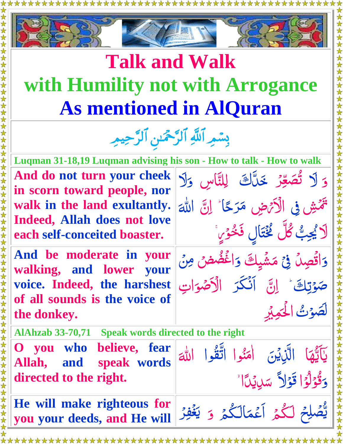

\*\*\*\*\*\*\*\*\*\*

\*\*\*\*\*\*\*\*\*\*\*

## **Talk and Walk with Humility not with Arrogance As mentioned in AlQuran**

بِسْمِرِ اللَّهِ الرَّحْمَٰنِ الرَّحِيمِرِ

**Luqman 31-18,19 Luqman advising his son - How to talk - How to walk**

 $\frac{1}{2}$ و َ

للَّٰلا ا

 $\frac{1}{2}$ ِّ م َ

للَّٰلا ا

ا  $\frac{1}{2}$  <u>و</u><br>ب

 $\frac{1}{\sqrt{2}}$ 

ل

 $\frac{1}{\sqrt{2}}$ 

 $\tilde{c}$  $\frac{1}{2}$  $\frac{1}{2}$ 

 $\frac{1}{2}$ 

 $\tilde{ }$ 

م<br>ز وَلَا تُصَعِّرُ

> $\frac{u}{\sqrt{2}}$  $\overline{\phantom{a}}$

ر<br>پا

صَوْتِكَ وَ النَّ

 ك ِّ و ت  $\overline{\phantom{a}}$ 

ت و  $\frac{1}{\sqrt{2}}$ لَّصَوْتُ الْحَكِيْرِ

> ا  $\overline{A}$ يَآتِّهَا  $\frac{1}{2}$  $\frac{1}{2}$ ֧֚֚֝<br>֧֚֚֝

 $\frac{1}{2}$  $\frac{1}{2}$ ل  $\frac{1}{2}$ Ĵ

ح

دَ

تَمَشِّ فِي الْأَتْرَضِ مَرَحًا

J<br>.

لاَ يُجِبُّ كُلَّ كَخْتَالٍ فَخْوَيٍّ

E

 $\frac{1}{2}$  $\tilde{\mathbf{r}}$ م

 $\ddot{\phantom{0}}$ 

 $\frac{1}{2}$ 

 $\ddot{\cdot}$ الَّذِيْنَ اٰمَنُوا

 $\frac{1}{2}$  $\sqrt{\phantom{a}}$ 

Ĕ

 $\int$ 

وَاقْصِلُ فِي مَشْيِكَ

 $\tilde{C}$ 

 $\tilde{\mathbf{C}}$  $\overline{\mathbf{1}}$  $\int$ ا

ِّ ع ك د ص َ

.<br>ب  $\ddot{\phantom{a}}$ 

خَالَّ لِلتَّاسِ وَلَا

مَرَكًا ٰ اِنَّ

 $\ddot{\bullet}$ 

وَاغْضُضْ مِنْ

الكضو  $\tilde{\downarrow}$ 

أَنْكَرَ الْأَصْوَاتِ

ر<br>د ح  $\overline{\phantom{a}}$ ر  $\tilde{\mathbf{r}}$ 

 $\frac{1}{2}$ S<br>-

ر<br>ر

 $\tilde{\mathbf{A}}$  $\tilde{\mathbf{r}}$ 

سۜڸڮٙٲٵ

امَنُوا اتَّقُوا

**And do not turn your cheek in scorn toward people, nor walk in the land exultantly. Indeed, Allah does not love each self-conceited boaster.**

**And be moderate in your walking, and lower your voice. Indeed, the harshest of all sounds is the voice of the donkey.**

**AlAhzab 33-70,71 Speak words directed to the right**

**O you who believe, fear Allah, and speak words directed to the right.**

وَقُوْلُوْا قَوْلاً سَلِيْدَاً  $\frac{1}{2}$  $\frac{1}{2}$ **He will make righteous for you your deeds, and He will**  يُّصَلِحْ لَكُمْ أَعْمَالَكُمْ  $\tilde{\mathcal{S}}$ ا<br>ا ل  $\tilde{\mathbf{r}}$ ا<br>الماضي  $\overline{\phantom{a}}$ م ع ا  $\tilde{\mathbf{a}}$  $\frac{1}{\sqrt{2}}$ و ر ر<br>ر ِ<br>فِقْ  $\sum_{i=1}^{n}$ ي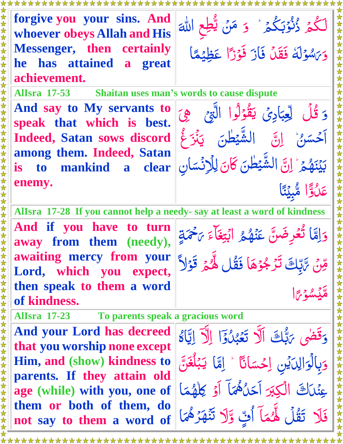**forgive you your sins. And whoever obeys Allah and His Messenger, then certainly he has attained a great achievement.**  $\tilde{\mathcal{S}}$ ؗڴ<sub>ۿ</sub> ڒۢڹٛۯڹڴ<u>؞</u>۫ ا<br>ا ل  $\tilde{\mathcal{S}}$ ب  $\frac{1}{2}$  $\frac{1}{\sqrt{2}}$  $\sum$  $\tilde{\mathbf{z}}$ و ن  $\frac{1}{2}$  $\tilde{\mathbf{r}}$ مَنْ يُّطِع  $\frac{1}{2}$  $\frac{1}{2}$  هّٰلل ا َ  $\frac{1}{2}$ و ه و س  $\overline{\phantom{a}}$ ل  $\overline{\phantom{a}}$  $\tilde{ }$  $\overline{\mathcal{S}}$ برشولة فَقَلْ (<br>L فَازَ فَوْزًا ً فَوْزًا عَظِيْعًا  $\tilde{ }$ ا<br>المراجع<br>المراجع م ِّظي  $\frac{1}{2}$  $\tilde{\Omega}$ ع **AlIsra 17-53 Shaitan uses man's words to cause dispute And say to My servants to speak that which is best. Indeed, Satan sows discord among them. Indeed, Satan is to mankind a clear enemy.**  $\frac{1}{2}$ وَ قُلُ لِّعِبَادِيَ Ĵ  $\frac{1}{2}$  $\frac{1}{2}$ ِّ<br>عِبِّ ِ<br>لِ  $\frac{1}{2}$ لِّعِبَادِيَّ يَقُوْلُوا ل  $\frac{1}{2}$ **CONTROL** يَقُوْلُوا الَّتِيْ  $\tilde{\phantom{0}}$  $\sum$  $\tilde{\zeta}$ ِِّه  $\frac{1}{2}$ ن  $\tilde{ }$ آخَسَنُ اِنَّ  $\leq$  $\ddot{\bullet}$ الشَّيْطٰنَ يَنْزَعُ  $\frac{1}{2}$ i<br>Sisa  $\tilde{\mathbf{y}}$ ر<sup>ق</sup>بر غُ  $\tilde{\mathcal{S}}$ م ه  $\overline{1}$  $\ddot{\cdot}$ وبر<br>ين  $\sqrt{\frac{1}{2}}$ <u>رَ</u> بَيْنَهُمۡ ۚ إِنَّ الشَّيۡ  $\ddot{\cdot}$ ا i<br>Sisa  $\frac{1}{2}$  طن े<br>स  $\ddot{\phantom{0}}$ كَانَ لِلْإِنْسَانِ  $\frac{1}{\sqrt{2}}$ لِلَانَسَ  $\frac{1}{2}$ لِلْإِنْسَانِ ا ً عَكْوًّا مُّبِيِّنًا  $\tilde{\mathbf{C}}$ ا<br>ا ن بِّي م  $\frac{1}{2}$ U<br>A  $\ddot{\hat{}}$ **AlIsra 17-28 If you cannot help a needy- say at least a word of kindness And if you have to turn away from them (needy), awaiting mercy from your Lord, which you expect, then speak to them a word of kindness.**  $\frac{1}{2}$ وَإِمَّا تُعْرِضَنَّ عَنْهُمْ  $\zeta$  $\ddot{\bullet}$ á **ئ**<br>لا و<br>ڏ  $\tilde{\mathcal{S}}$  $\overline{1}$  $\tilde{\mathbf{z}}$  $\tilde{\textbf{a}}$ عَنْهُمْ م<br>م ٓاء é ابْتِغَاءَ ب<del>َ</del>حْمَةٍ  $\sum_{i=1}^{n}$ Í ر َ  $\frac{1}{2}$ ن ِّقِنَ تَرَبُّوْهَا فَقُل هُّمَ قَوْلاً  $\sum$ <u>ئی</u><br>د بالعا  $\tilde{J}$  $\tilde{ }$ Ź ر<br>د **C**  $\tilde{\mathcal{S}}$  $\frac{1}{2}$  $\frac{1}{2}$ ل<br>ا هيشوتا  $\frac{1}{2}$  $\tilde{ }$  $\sqrt{2}$  $\ddot{\bm{\delta}}$ **AlIsra 17-23 To parents speak a gracious word And your Lord has decreed that you worship none except Him, and (show) kindness to parents. If they attain old age (while) with you, one of them or both of them, do not say to them a word of**  وَقَضى ؆بُّل*ُّ*تَ  $\sum_{i=1}^{n}$ باعي رَبُّكَ الَّا تَعْبُدُوا إِلَّا إِيَّاهُ  $\frac{1}{2}$ Ĺ  $\frac{1}{2}$ ś ت ا Ś  $\frac{1}{2}$  $\frac{1}{2}$ وبالوا  $\overline{\phantom{a}}$ بِالْوَالِدَيْنِ با  $\frac{1}{2}$ ِّ لِدَيْنِ اِحْسَانَا  $\tilde{ }$ اِحْسَانًا ؕ اِمَّا يَ*بَّ*  $\tilde{\phantom{a}}$  $\zeta$  $\frac{1}{2}$  $\frac{1}{2}$ يَبْلُغَنَّ<br>أ  $\ddot{\cdot}$ غ ل  $\mathfrak{c}$ عِنْكَ الصَّ بر<br>ا الكِبَرَ أَحَلُّهُمَا أَحَاهُ هَمَا أَوْ كِالْهُمَا<br>-<u>í</u>  $\mathcal{L}$ م ه ل  $\overline{1}$  $\cdot$ **∕** ك فَلَا تَقُلُ لَهُمَآ  $\frac{1}{2}$  $\tilde{\mathbf{z}}$ لَّهُمَا َ أَتِّ وَّلَا تَنْهَزُهُمَا  $\overline{\phantom{a}}$  $\frac{1}{2}$  $\frac{1}{2}$ م<br>مرهم<br>ا ر<br>ر ه ن  $\tilde{\mathbf{z}}$ ت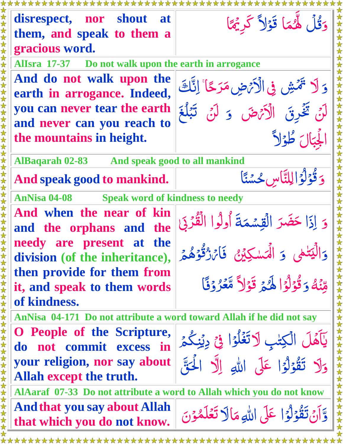\*\*\*\*\*\*\*\*\*\*\* لَّهُمَا قَوْلاً كَرِيْمًا **disrespect, nor shout at** كُر <u>چُ</u> وَقُلَ لَهُمَا Î  $\tilde{\zeta}$  $\overline{\mathbf{r}}$ ر<br>م  $\tilde{\lambda}$  $\overline{a}$  $\tilde{\mathbf{z}}$ **them, and speak to them a gracious word. AlIsra 17-37 Do not walk upon the earth in arrogance And do not walk upon the**  وَلَا تَمَّشِ فِى الْأَيْضِ مَرَجًا مَرَ حًا ٗ اِنَّاتَ ا ح ر  $\ddot{\phantom{0}}$  $\overline{\phantom{a}}$ ر<br>ر ر<br>د  $\tilde{J}$  $\frac{1}{2}$ **earth in arrogance. Indeed, you can never tear the earth** وَ لَنْ تَبْلُغَ لَنْ تَخْرِقَ الْأَتْرَضَ  $\frac{1}{2}$  $\frac{1}{2}$  $\frac{1}{2}$  $\frac{1}{2}$ **and never can you reach to** لْجِبَالَ طُؤلاً ال ļ ا **the mountains in height.**  $\frac{1}{2}$  $\tilde{\zeta}$  $\frac{1}{2}$  $\frac{1}{2}$ **AlBaqarah 02-83 And speak good to all mankind** ِّ وَ قُوْلُوَ الِلتَّاسِ ل ن س ح لِلتَّاسِ حُسْنَا  $\frac{1}{2}$ j **And speak good to mankind.** َ  $\ddot{\tilde{}}$ ن<br>أ  $\tilde{=}$  $\overline{\phantom{a}}$  $\frac{1}{2}$  $\frac{1}{2}$  $\frac{1}{\sqrt{2}}$ **AnNisa 04-08 Speak word of kindness to needy And when the near of kin**  القِسْمَةَ أُولُوا الْقُرْبَى و ا ذ ِّ ا َ ل حَضَرَ الْقِسْمَةَ  $\frac{1}{2}$  $\frac{1}{2}$ J  $\overline{\mathbf{A}}$  $\tilde{ }$  $\frac{1}{2}$ **and the orphans and the needy are present at the**  وَ الْمَسْكِيْنُ الْيَتْمَى وَالۡيَتَٰلَٰى ل لْمَسْكِيْنُ ۚ فَاتَرْتُوَّهُمْ  $\sum_{i=1}^{n}$ ا Ĵ ֺ֚  $\sum_{\alpha}$  $\Delta$ لي<br>مر **division (of the inheritance),**  $\overline{\phantom{a}}$  $\tilde{J}$  $\tilde{\mathcal{S}}$  $\overline{\phantom{a}}$  $\overline{\phantom{a}}$  $\frac{1}{2}$  $\ddot{\phantom{a}}$ ֧֚֚֝ **then provide for them from**  ه ن ِّ م وَقُوْلُوۡا لَهَيۡ قَوۡلاً مَّعۡرُوۡنَا ل  $\frac{1}{2}$ Ĵ **it, and speak to them words**  ś  $\tilde{\mathbf{z}}$  $\ddot{\bm{\delta}}$ É  $\tilde{ }$ ر<br>(  $\frac{1}{2}$  $\frac{1}{2}$  $\frac{1}{2}$  $\sum$  $\tilde{\mathcal{S}}$  $\overline{\phantom{a}}$  $\frac{1}{2}$ **of kindness. AnNisa 04-171 Do not attribute a word toward Allah if he did not say O People of the Scripture,** يَاَهَلَ الْكِتْبِ لَاتَغَلَّوُا فِي دِيُنِكُمْ ت  $\int$ د<br>ک ֺ֦ j  $\tilde{\mathcal{S}}$  $\overline{\phantom{a}}$  $\tilde{\zeta}$ **do not commit excess in**  عَلَى اللهِ إِلَّا الْحَقَّ **your religion, nor say about**  ا<br>ا  $\overline{\mathbf{L}}$  $\bigcup$ وَلَا تَقُوْلُوْا عَلَى ل ا ل  $\frac{1}{2}$ **C**  $\ddot{\phantom{0}}$  $\tilde{r}$  $\overline{\phantom{a}}$  $\frac{1}{2}$  $\frac{1}{2}$ **Allah except the truth. AlAaraf 07-33 Do not attribute a word to Allah which you do not know Andthat you say about Allah** عَلَى ال<mark>ل</mark>ّٰهِ مَا تغلمۇن توَّانَ تَقُوْلُوۡا عَلَى ل ل م  $\frac{1}{2}$  Í  $\overline{a}$  $\tilde{\phantom{a}}$  $\ddot{\phantom{0}}$  $\frac{1}{2}$  $\tilde{\mathbf{r}}$  $\frac{1}{2}$  $\frac{1}{2}$  $\frac{1}{2}$ **that which you do not know.**